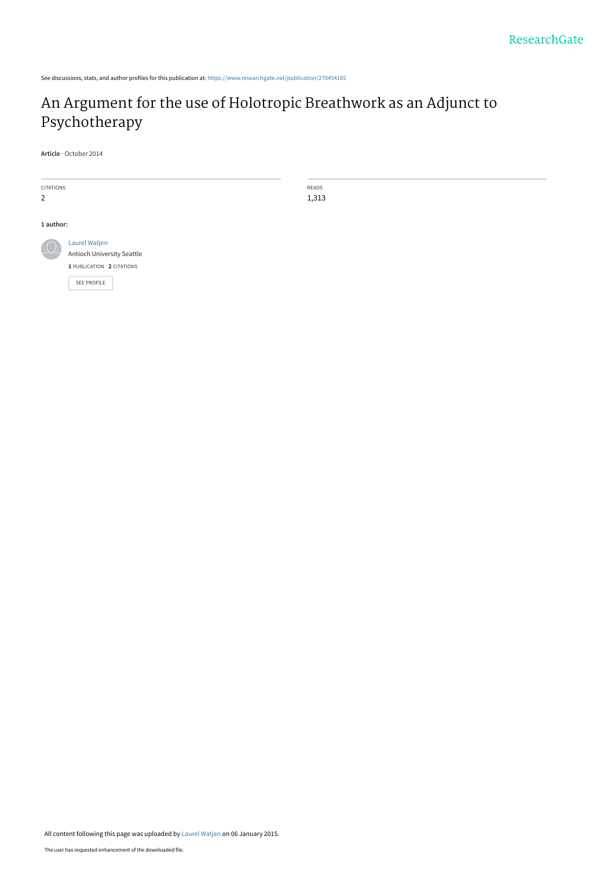See discussions, stats, and author profiles for this publication at: [https://www.researchgate.net/publication/270454185](https://www.researchgate.net/publication/270454185_An_Argument_for_the_use_of_Holotropic_Breathwork_as_an_Adjunct_to_Psychotherapy?enrichId=rgreq-0816806438d6f6b68d4a737af2c063ce-XXX&enrichSource=Y292ZXJQYWdlOzI3MDQ1NDE4NTtBUzoxODI1MTQ2MDE3MDEzNzZAMTQyMDUyNjI4MDU0NA%3D%3D&el=1_x_2&_esc=publicationCoverPdf)

# [An Argument for the use of Holotropic Breathwork as an Adjunct to](https://www.researchgate.net/publication/270454185_An_Argument_for_the_use_of_Holotropic_Breathwork_as_an_Adjunct_to_Psychotherapy?enrichId=rgreq-0816806438d6f6b68d4a737af2c063ce-XXX&enrichSource=Y292ZXJQYWdlOzI3MDQ1NDE4NTtBUzoxODI1MTQ2MDE3MDEzNzZAMTQyMDUyNjI4MDU0NA%3D%3D&el=1_x_3&_esc=publicationCoverPdf) Psychotherapy

READS 1,313

**Article** · October 2014

| <b>CITATIONS</b><br>$\overline{2}$ |                                                                          |
|------------------------------------|--------------------------------------------------------------------------|
| 1 author:                          |                                                                          |
|                                    | Laurel Watjen<br>Antioch University Seattle<br>1 PUBLICATION 2 CITATIONS |
|                                    | <b>SEE PROFILE</b>                                                       |

All content following this page was uploaded by [Laurel Watjen](https://www.researchgate.net/profile/Laurel_Watjen?enrichId=rgreq-0816806438d6f6b68d4a737af2c063ce-XXX&enrichSource=Y292ZXJQYWdlOzI3MDQ1NDE4NTtBUzoxODI1MTQ2MDE3MDEzNzZAMTQyMDUyNjI4MDU0NA%3D%3D&el=1_x_10&_esc=publicationCoverPdf) on 06 January 2015.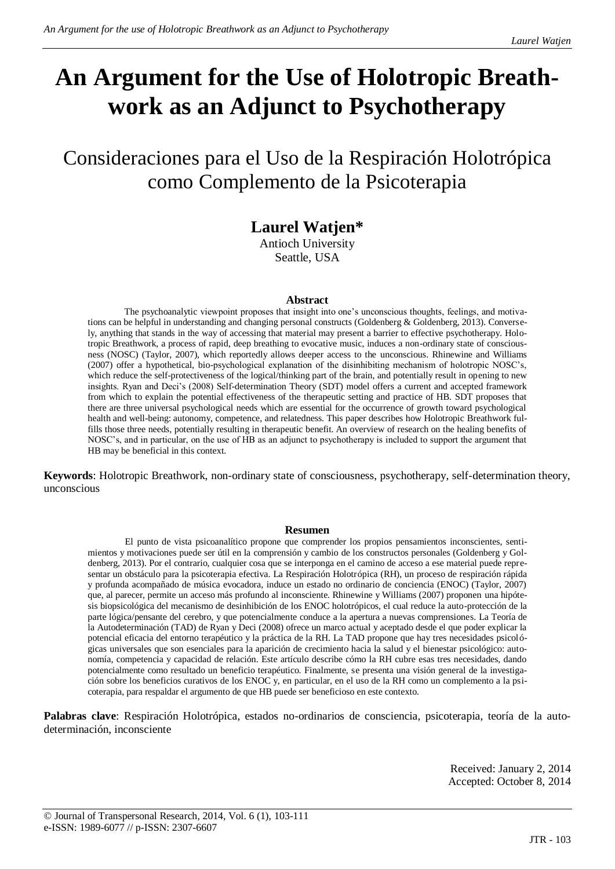# **An Argument for the Use of Holotropic Breathwork as an Adjunct to Psychotherapy**

Consideraciones para el Uso de la Respiración Holotrópica como Complemento de la Psicoterapia

# **Laurel Watjen\***

Antioch University Seattle, USA

#### **Abstract**

The psychoanalytic viewpoint proposes that insight into one's unconscious thoughts, feelings, and motivations can be helpful in understanding and changing personal constructs (Goldenberg & Goldenberg, 2013). Conversely, anything that stands in the way of accessing that material may present a barrier to effective psychotherapy. Holotropic Breathwork, a process of rapid, deep breathing to evocative music, induces a non-ordinary state of consciousness (NOSC) (Taylor, 2007), which reportedly allows deeper access to the unconscious. Rhinewine and Williams (2007) offer a hypothetical, bio-psychological explanation of the disinhibiting mechanism of holotropic NOSC's, which reduce the self-protectiveness of the logical/thinking part of the brain, and potentially result in opening to new insights. Ryan and Deci's (2008) Self-determination Theory (SDT) model offers a current and accepted framework from which to explain the potential effectiveness of the therapeutic setting and practice of HB. SDT proposes that there are three universal psychological needs which are essential for the occurrence of growth toward psychological health and well-being: autonomy, competence, and relatedness. This paper describes how Holotropic Breathwork fulfills those three needs, potentially resulting in therapeutic benefit. An overview of research on the healing benefits of NOSC's, and in particular, on the use of HB as an adjunct to psychotherapy is included to support the argument that HB may be beneficial in this context.

**Keywords**: Holotropic Breathwork, non-ordinary state of consciousness, psychotherapy, self-determination theory, unconscious

#### **Resumen**

El punto de vista psicoanalítico propone que comprender los propios pensamientos inconscientes, sentimientos y motivaciones puede ser útil en la comprensión y cambio de los constructos personales (Goldenberg y Goldenberg, 2013). Por el contrario, cualquier cosa que se interponga en el camino de acceso a ese material puede representar un obstáculo para la psicoterapia efectiva. La Respiración Holotrópica (RH), un proceso de respiración rápida y profunda acompañado de música evocadora, induce un estado no ordinario de conciencia (ENOC) (Taylor, 2007) que, al parecer, permite un acceso más profundo al inconsciente. Rhinewine y Williams (2007) proponen una hipótesis biopsicológica del mecanismo de desinhibición de los ENOC holotrópicos, el cual reduce la auto-protección de la parte lógica/pensante del cerebro, y que potencialmente conduce a la apertura a nuevas comprensiones. La Teoría de la Autodeterminación (TAD) de Ryan y Deci (2008) ofrece un marco actual y aceptado desde el que poder explicar la potencial eficacia del entorno terapéutico y la práctica de la RH. La TAD propone que hay tres necesidades psicológicas universales que son esenciales para la aparición de crecimiento hacia la salud y el bienestar psicológico: autonomía, competencia y capacidad de relación. Este artículo describe cómo la RH cubre esas tres necesidades, dando potencialmente como resultado un beneficio terapéutico. Finalmente, se presenta una visión general de la investigación sobre los beneficios curativos de los ENOC y, en particular, en el uso de la RH como un complemento a la psicoterapia, para respaldar el argumento de que HB puede ser beneficioso en este contexto.

**Palabras clave**: Respiración Holotrópica, estados no-ordinarios de consciencia, psicoterapia, teoría de la autodeterminación, inconsciente

> Received: January 2, 2014 Accepted: October 8, 2014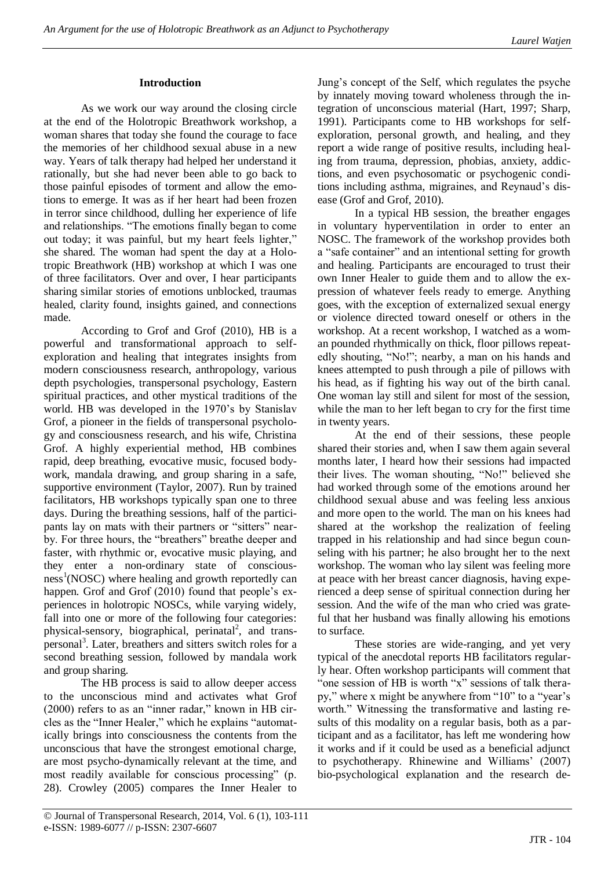## **Introduction**

As we work our way around the closing circle at the end of the Holotropic Breathwork workshop, a woman shares that today she found the courage to face the memories of her childhood sexual abuse in a new way. Years of talk therapy had helped her understand it rationally, but she had never been able to go back to those painful episodes of torment and allow the emotions to emerge. It was as if her heart had been frozen in terror since childhood, dulling her experience of life and relationships. "The emotions finally began to come out today; it was painful, but my heart feels lighter," she shared. The woman had spent the day at a Holotropic Breathwork (HB) workshop at which I was one of three facilitators. Over and over, I hear participants sharing similar stories of emotions unblocked, traumas healed, clarity found, insights gained, and connections made.

According to Grof and Grof (2010), HB is a powerful and transformational approach to selfexploration and healing that integrates insights from modern consciousness research, anthropology, various depth psychologies, transpersonal psychology, Eastern spiritual practices, and other mystical traditions of the world. HB was developed in the 1970's by Stanislav Grof, a pioneer in the fields of transpersonal psychology and consciousness research, and his wife, Christina Grof. A highly experiential method, HB combines rapid, deep breathing, evocative music, focused bodywork, mandala drawing, and group sharing in a safe, supportive environment (Taylor, 2007). Run by trained facilitators, HB workshops typically span one to three days. During the breathing sessions, half of the participants lay on mats with their partners or "sitters" nearby. For three hours, the "breathers" breathe deeper and faster, with rhythmic or, evocative music playing, and they enter a non-ordinary state of conscious $ness<sup>1</sup>(NOSC)$  where healing and growth reportedly can happen. Grof and Grof (2010) found that people's experiences in holotropic NOSCs, while varying widely, fall into one or more of the following four categories: physical-sensory, biographical, perinatal<sup>2</sup>, and transpersonal<sup>3</sup>. Later, breathers and sitters switch roles for a second breathing session, followed by mandala work and group sharing.

The HB process is said to allow deeper access to the unconscious mind and activates what Grof  $(2000)$  refers to as an "inner radar," known in HB circles as the "Inner Healer," which he explains "automatically brings into consciousness the contents from the unconscious that have the strongest emotional charge, are most psycho-dynamically relevant at the time, and most readily available for conscious processing" (p. 28). Crowley (2005) compares the Inner Healer to

Jung's concept of the Self, which regulates the psyche by innately moving toward wholeness through the integration of unconscious material (Hart, 1997; Sharp, 1991). Participants come to HB workshops for selfexploration, personal growth, and healing, and they report a wide range of positive results, including healing from trauma, depression, phobias, anxiety, addictions, and even psychosomatic or psychogenic conditions including asthma, migraines, and Reynaud's disease (Grof and Grof, 2010).

In a typical HB session, the breather engages in voluntary hyperventilation in order to enter an NOSC. The framework of the workshop provides both a "safe container" and an intentional setting for growth and healing. Participants are encouraged to trust their own Inner Healer to guide them and to allow the expression of whatever feels ready to emerge. Anything goes, with the exception of externalized sexual energy or violence directed toward oneself or others in the workshop. At a recent workshop, I watched as a woman pounded rhythmically on thick, floor pillows repeatedly shouting, "No!"; nearby, a man on his hands and knees attempted to push through a pile of pillows with his head, as if fighting his way out of the birth canal. One woman lay still and silent for most of the session, while the man to her left began to cry for the first time in twenty years.

At the end of their sessions, these people shared their stories and, when I saw them again several months later, I heard how their sessions had impacted their lives. The woman shouting, "No!" believed she had worked through some of the emotions around her childhood sexual abuse and was feeling less anxious and more open to the world. The man on his knees had shared at the workshop the realization of feeling trapped in his relationship and had since begun counseling with his partner; he also brought her to the next workshop. The woman who lay silent was feeling more at peace with her breast cancer diagnosis, having experienced a deep sense of spiritual connection during her session. And the wife of the man who cried was grateful that her husband was finally allowing his emotions to surface.

These stories are wide-ranging, and yet very typical of the anecdotal reports HB facilitators regularly hear. Often workshop participants will comment that " one session of HB is worth "x" sessions of talk therapy," where x might be anywhere from "10" to a "year's worth." Witnessing the transformative and lasting results of this modality on a regular basis, both as a participant and as a facilitator, has left me wondering how it works and if it could be used as a beneficial adjunct to psychotherapy. Rhinewine and Williams' (2007) bio-psychological explanation and the research de-

<sup>©</sup> Journal of Transpersonal Research, 2014, Vol. 6 (1), 103-111 e-ISSN: 1989-6077 // p-ISSN: 2307-6607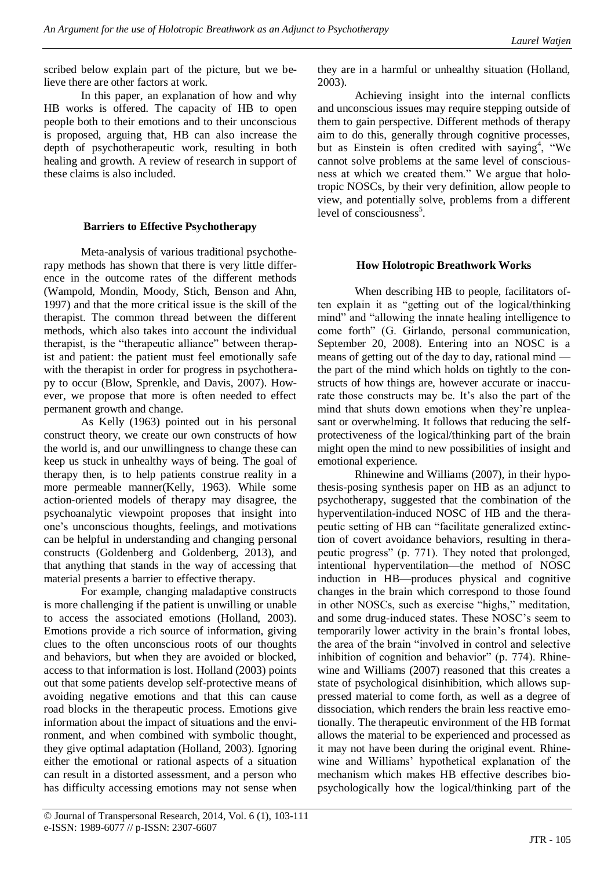scribed below explain part of the picture, but we believe there are other factors at work.

In this paper, an explanation of how and why HB works is offered. The capacity of HB to open people both to their emotions and to their unconscious is proposed, arguing that, HB can also increase the depth of psychotherapeutic work, resulting in both healing and growth. A review of research in support of these claims is also included.

#### **Barriers to Effective Psychotherapy**

Meta-analysis of various traditional psychotherapy methods has shown that there is very little difference in the outcome rates of the different methods (Wampold, Mondin, Moody, Stich, Benson and Ahn, 1997) and that the more critical issue is the skill of the therapist. The common thread between the different methods, which also takes into account the individual therapist, is the "therapeutic alliance" between therapist and patient: the patient must feel emotionally safe with the therapist in order for progress in psychotherapy to occur (Blow, Sprenkle, and Davis, 2007). However, we propose that more is often needed to effect permanent growth and change.

As Kelly (1963) pointed out in his personal construct theory, we create our own constructs of how the world is, and our unwillingness to change these can keep us stuck in unhealthy ways of being. The goal of therapy then, is to help patients construe reality in a more permeable manner(Kelly, 1963). While some action-oriented models of therapy may disagree, the psychoanalytic viewpoint proposes that insight into one's unconscious thoughts, feelings, and motivations can be helpful in understanding and changing personal constructs (Goldenberg and Goldenberg, 2013), and that anything that stands in the way of accessing that material presents a barrier to effective therapy.

For example, changing maladaptive constructs is more challenging if the patient is unwilling or unable to access the associated emotions (Holland, 2003). Emotions provide a rich source of information, giving clues to the often unconscious roots of our thoughts and behaviors, but when they are avoided or blocked, access to that information is lost. Holland (2003) points out that some patients develop self-protective means of avoiding negative emotions and that this can cause road blocks in the therapeutic process. Emotions give information about the impact of situations and the environment, and when combined with symbolic thought, they give optimal adaptation (Holland, 2003). Ignoring either the emotional or rational aspects of a situation can result in a distorted assessment, and a person who has difficulty accessing emotions may not sense when

they are in a harmful or unhealthy situation (Holland, 2003).

Achieving insight into the internal conflicts and unconscious issues may require stepping outside of them to gain perspective. Different methods of therapy aim to do this, generally through cognitive processes, but as Einstein is often credited with saying<sup>4</sup>, "We cannot solve problems at the same level of consciousness at which we created them." We argue that holotropic NOSCs, by their very definition, allow people to view, and potentially solve, problems from a different level of consciousness<sup>5</sup>.

# **How Holotropic Breathwork Works**

When describing HB to people, facilitators often explain it as "getting out of the logical/thinking mind" and "allowing the innate healing intelligence to come forth" (G. Girlando, personal communication, September 20, 2008). Entering into an NOSC is a means of getting out of the day to day, rational mind the part of the mind which holds on tightly to the constructs of how things are, however accurate or inaccurate those constructs may be. It's also the part of the mind that shuts down emotions when they're unpleasant or overwhelming. It follows that reducing the selfprotectiveness of the logical/thinking part of the brain might open the mind to new possibilities of insight and emotional experience.

Rhinewine and Williams (2007), in their hypothesis-posing synthesis paper on HB as an adjunct to psychotherapy, suggested that the combination of the hyperventilation-induced NOSC of HB and the therapeutic setting of HB can "facilitate generalized extinction of covert avoidance behaviors, resulting in therapeutic progress" (p. 771). They noted that prolonged, intentional hyperventilation—the method of NOSC induction in HB—produces physical and cognitive changes in the brain which correspond to those found in other NOSCs, such as exercise "highs," meditation, and some drug-induced states. These NOSC's seem to temporarily lower activity in the brain's frontal lobes, the area of the brain "involved in control and selective inhibition of cognition and behavior"  $(p. 774)$ . Rhinewine and Williams (2007) reasoned that this creates a state of psychological disinhibition, which allows suppressed material to come forth, as well as a degree of dissociation, which renders the brain less reactive emotionally. The therapeutic environment of the HB format allows the material to be experienced and processed as it may not have been during the original event. Rhinewine and Williams' hypothetical explanation of the mechanism which makes HB effective describes biopsychologically how the logical/thinking part of the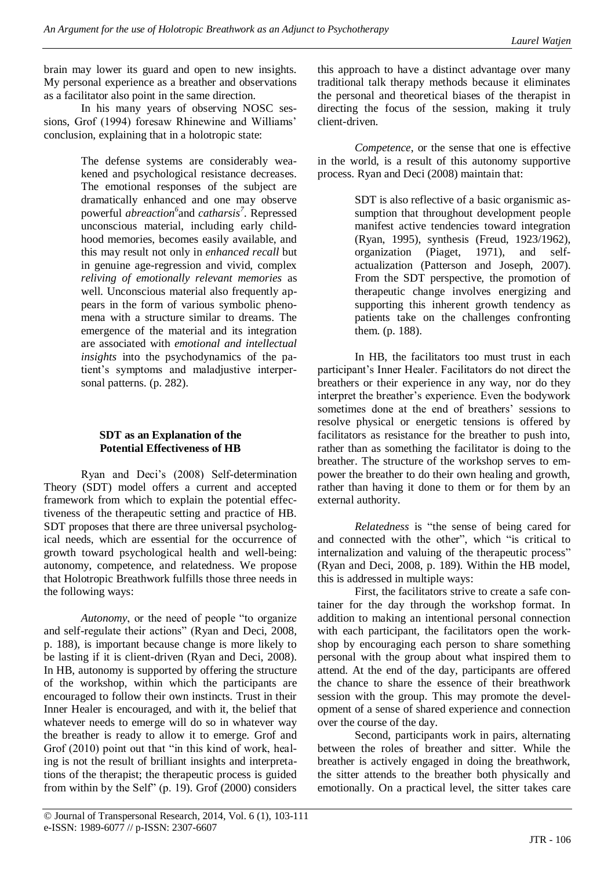brain may lower its guard and open to new insights. My personal experience as a breather and observations as a facilitator also point in the same direction.

In his many years of observing NOSC sessions, Grof (1994) foresaw Rhinewine and Williams' conclusion, explaining that in a holotropic state:

> The defense systems are considerably weakened and psychological resistance decreases. The emotional responses of the subject are dramatically enhanced and one may observe powerful *abreaction 6* and *catharsis<sup>7</sup>* . Repressed unconscious material, including early childhood memories, becomes easily available, and this may result not only in *enhanced recall* but in genuine age-regression and vivid, complex *reliving of emotionally relevant memories* as well. Unconscious material also frequently appears in the form of various symbolic phenomena with a structure similar to dreams. The emergence of the material and its integration are associated with *emotional and intellectual insights* into the psychodynamics of the patient's symptoms and maladjustive interpersonal patterns. (p. 282).

# **SDT as an Explanation of the Potential Effectiveness of HB**

Ryan and Deci's (2008) Self-determination Theory (SDT) model offers a current and accepted framework from which to explain the potential effectiveness of the therapeutic setting and practice of HB. SDT proposes that there are three universal psychological needs, which are essential for the occurrence of growth toward psychological health and well-being: autonomy, competence, and relatedness. We propose that Holotropic Breathwork fulfills those three needs in the following ways:

*Autonomy*, or the need of people "to organize" and self-regulate their actions" (Ryan and Deci, 2008, p. 188), is important because change is more likely to be lasting if it is client-driven (Ryan and Deci, 2008). In HB, autonomy is supported by offering the structure of the workshop, within which the participants are encouraged to follow their own instincts. Trust in their Inner Healer is encouraged, and with it, the belief that whatever needs to emerge will do so in whatever way the breather is ready to allow it to emerge. Grof and Grof  $(2010)$  point out that "in this kind of work, healing is not the result of brilliant insights and interpretations of the therapist; the therapeutic process is guided from within by the Self" (p. 19). Grof  $(2000)$  considers

this approach to have a distinct advantage over many traditional talk therapy methods because it eliminates the personal and theoretical biases of the therapist in directing the focus of the session, making it truly client-driven.

*Competence*, or the sense that one is effective in the world, is a result of this autonomy supportive process. Ryan and Deci (2008) maintain that:

> SDT is also reflective of a basic organismic assumption that throughout development people manifest active tendencies toward integration (Ryan, 1995), synthesis (Freud, 1923/1962), organization (Piaget, 1971), and selfactualization (Patterson and Joseph, 2007). From the SDT perspective, the promotion of therapeutic change involves energizing and supporting this inherent growth tendency as patients take on the challenges confronting them. (p. 188).

In HB, the facilitators too must trust in each participant's Inner Healer. Facilitators do not direct the breathers or their experience in any way, nor do they interpret the breather's experience. Even the bodywork sometimes done at the end of breathers' sessions to resolve physical or energetic tensions is offered by facilitators as resistance for the breather to push into, rather than as something the facilitator is doing to the breather. The structure of the workshop serves to empower the breather to do their own healing and growth, rather than having it done to them or for them by an external authority.

*Relatedness* is "the sense of being cared for and connected with the other", which "is critical to internalization and valuing of the therapeutic process" (Ryan and Deci, 2008, p. 189). Within the HB model, this is addressed in multiple ways:

First, the facilitators strive to create a safe container for the day through the workshop format. In addition to making an intentional personal connection with each participant, the facilitators open the workshop by encouraging each person to share something personal with the group about what inspired them to attend. At the end of the day, participants are offered the chance to share the essence of their breathwork session with the group. This may promote the development of a sense of shared experience and connection over the course of the day.

Second, participants work in pairs, alternating between the roles of breather and sitter. While the breather is actively engaged in doing the breathwork, the sitter attends to the breather both physically and emotionally. On a practical level, the sitter takes care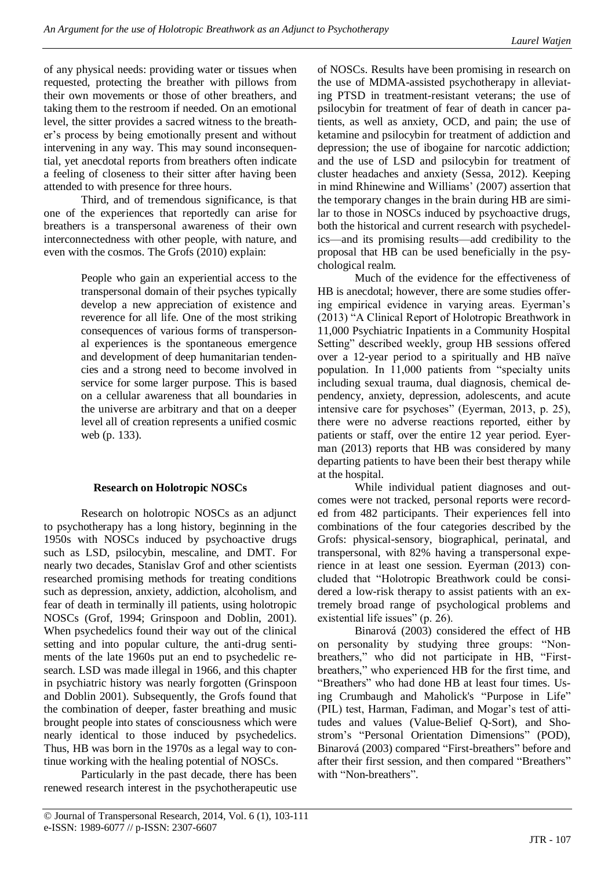of any physical needs: providing water or tissues when requested, protecting the breather with pillows from their own movements or those of other breathers, and taking them to the restroom if needed. On an emotional level, the sitter provides a sacred witness to the breather's process by being emotionally present and without intervening in any way. This may sound inconsequential, yet anecdotal reports from breathers often indicate a feeling of closeness to their sitter after having been attended to with presence for three hours.

Third, and of tremendous significance, is that one of the experiences that reportedly can arise for breathers is a transpersonal awareness of their own interconnectedness with other people, with nature, and even with the cosmos. The Grofs (2010) explain:

> People who gain an experiential access to the transpersonal domain of their psyches typically develop a new appreciation of existence and reverence for all life. One of the most striking consequences of various forms of transpersonal experiences is the spontaneous emergence and development of deep humanitarian tendencies and a strong need to become involved in service for some larger purpose. This is based on a cellular awareness that all boundaries in the universe are arbitrary and that on a deeper level all of creation represents a unified cosmic web (p. 133).

## **Research on Holotropic NOSCs**

Research on holotropic NOSCs as an adjunct to psychotherapy has a long history, beginning in the 1950s with NOSCs induced by psychoactive drugs such as LSD, psilocybin, mescaline, and DMT. For nearly two decades, Stanislav Grof and other scientists researched promising methods for treating conditions such as depression, anxiety, addiction, alcoholism, and fear of death in terminally ill patients, using holotropic NOSCs (Grof, 1994; Grinspoon and Doblin, 2001). When psychedelics found their way out of the clinical setting and into popular culture, the anti-drug sentiments of the late 1960s put an end to psychedelic research. LSD was made illegal in 1966, and this chapter in psychiatric history was nearly forgotten (Grinspoon and Doblin 2001). Subsequently, the Grofs found that the combination of deeper, faster breathing and music brought people into states of consciousness which were nearly identical to those induced by psychedelics. Thus, HB was born in the 1970s as a legal way to continue working with the healing potential of NOSCs.

Particularly in the past decade, there has been renewed research interest in the psychotherapeutic use of NOSCs. Results have been promising in research on the use of MDMA-assisted psychotherapy in alleviating PTSD in treatment-resistant veterans; the use of psilocybin for treatment of fear of death in cancer patients, as well as anxiety, OCD, and pain; the use of ketamine and psilocybin for treatment of addiction and depression; the use of ibogaine for narcotic addiction; and the use of LSD and psilocybin for treatment of cluster headaches and anxiety (Sessa, 2012). Keeping in mind Rhinewine and Williams' (2007) assertion that the temporary changes in the brain during HB are similar to those in NOSCs induced by psychoactive drugs, both the historical and current research with psychedelics—and its promising results—add credibility to the proposal that HB can be used beneficially in the psychological realm.

Much of the evidence for the effectiveness of HB is anecdotal; however, there are some studies offering empirical evidence in varying areas. Eyerman's (2013) "A Clinical Report of Holotropic Breathwork in 11,000 Psychiatric Inpatients in a Community Hospital Setting" described weekly, group HB sessions offered over a 12-year period to a spiritually and HB naïve population. In 11,000 patients from "specialty units including sexual trauma, dual diagnosis, chemical dependency, anxiety, depression, adolescents, and acute intensive care for psychoses" (Eyerman, 2013, p. 25), there were no adverse reactions reported, either by patients or staff, over the entire 12 year period. Eyerman (2013) reports that HB was considered by many departing patients to have been their best therapy while at the hospital.

While individual patient diagnoses and outcomes were not tracked, personal reports were recorded from 482 participants. Their experiences fell into combinations of the four categories described by the Grofs: physical-sensory, biographical, perinatal, and transpersonal, with 82% having a transpersonal experience in at least one session. Eyerman (2013) concluded that "Holotropic Breathwork could be considered a low-risk therapy to assist patients with an extremely broad range of psychological problems and existential life issues" (p. 26).

Binarová (2003) considered the effect of HB on personality by studying three groups: "Nonbreathers," who did not participate in HB, "Firstbreathers," who experienced HB for the first time, and "Breathers" who had done HB at least four times. Using Crumbaugh and Maholick's "Purpose in Life" (PIL) test, Harman, Fadiman, and Mogar's test of attitudes and values (Value-Belief Q-Sort), and Shostrom's "Personal Orientation Dimensions" (POD), Binarová (2003) compared "First-breathers" before and after their first session, and then compared "Breathers" with "Non-breathers".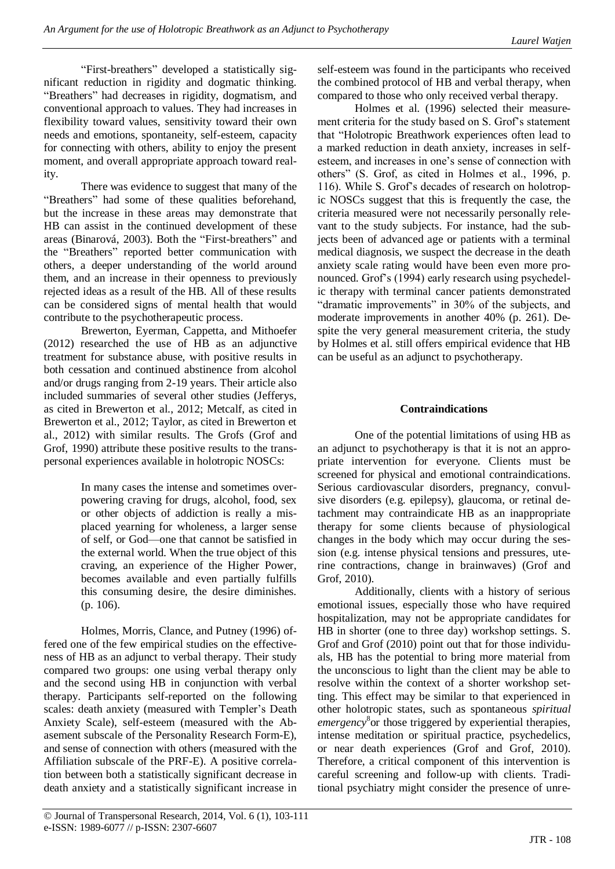"First-breathers" developed a statistically significant reduction in rigidity and dogmatic thinking. "Breathers" had decreases in rigidity, dogmatism, and conventional approach to values. They had increases in flexibility toward values, sensitivity toward their own needs and emotions, spontaneity, self-esteem, capacity for connecting with others, ability to enjoy the present moment, and overall appropriate approach toward reality.

There was evidence to suggest that many of the "Breathers" had some of these qualities beforehand, but the increase in these areas may demonstrate that HB can assist in the continued development of these areas (Binarová, 2003). Both the "First-breathers" and the "Breathers" reported better communication with others, a deeper understanding of the world around them, and an increase in their openness to previously rejected ideas as a result of the HB. All of these results can be considered signs of mental health that would contribute to the psychotherapeutic process.

Brewerton, Eyerman, Cappetta, and Mithoefer (2012) researched the use of HB as an adjunctive treatment for substance abuse, with positive results in both cessation and continued abstinence from alcohol and/or drugs ranging from 2-19 years. Their article also included summaries of several other studies (Jefferys, as cited in Brewerton et al., 2012; Metcalf, as cited in Brewerton et al., 2012; Taylor, as cited in Brewerton et al., 2012) with similar results. The Grofs (Grof and Grof, 1990) attribute these positive results to the transpersonal experiences available in holotropic NOSCs:

> In many cases the intense and sometimes overpowering craving for drugs, alcohol, food, sex or other objects of addiction is really a misplaced yearning for wholeness, a larger sense of self, or God—one that cannot be satisfied in the external world. When the true object of this craving, an experience of the Higher Power, becomes available and even partially fulfills this consuming desire, the desire diminishes. (p. 106).

Holmes, Morris, Clance, and Putney (1996) offered one of the few empirical studies on the effectiveness of HB as an adjunct to verbal therapy. Their study compared two groups: one using verbal therapy only and the second using HB in conjunction with verbal therapy. Participants self-reported on the following scales: death anxiety (measured with Templer's Death Anxiety Scale), self-esteem (measured with the Abasement subscale of the Personality Research Form-E), and sense of connection with others (measured with the Affiliation subscale of the PRF-E). A positive correlation between both a statistically significant decrease in death anxiety and a statistically significant increase in

self-esteem was found in the participants who received the combined protocol of HB and verbal therapy, when compared to those who only received verbal therapy.

Holmes et al. (1996) selected their measurement criteria for the study based on S. Grof's statement that "Holotropic Breathwork experiences often lead to a marked reduction in death anxiety, increases in selfesteem, and increases in one's sense of connection with others" (S. Grof, as cited in Holmes et al., 1996, p. 116). While S. Grof's decades of research on holotropic NOSCs suggest that this is frequently the case, the criteria measured were not necessarily personally relevant to the study subjects. For instance, had the subjects been of advanced age or patients with a terminal medical diagnosis, we suspect the decrease in the death anxiety scale rating would have been even more pronounced. Grof's (1994) early research using psychedelic therapy with terminal cancer patients demonstrated "dramatic improvements" in 30% of the subjects, and moderate improvements in another 40% (p. 261). Despite the very general measurement criteria, the study by Holmes et al. still offers empirical evidence that HB can be useful as an adjunct to psychotherapy.

## **Contraindications**

One of the potential limitations of using HB as an adjunct to psychotherapy is that it is not an appropriate intervention for everyone. Clients must be screened for physical and emotional contraindications. Serious cardiovascular disorders, pregnancy, convulsive disorders (e.g. epilepsy), glaucoma, or retinal detachment may contraindicate HB as an inappropriate therapy for some clients because of physiological changes in the body which may occur during the session (e.g. intense physical tensions and pressures, uterine contractions, change in brainwaves) (Grof and Grof, 2010).

Additionally, clients with a history of serious emotional issues, especially those who have required hospitalization, may not be appropriate candidates for HB in shorter (one to three day) workshop settings. S. Grof and Grof (2010) point out that for those individuals, HB has the potential to bring more material from the unconscious to light than the client may be able to resolve within the context of a shorter workshop setting. This effect may be similar to that experienced in other holotropic states, such as spontaneous *spiritual*  emergency<sup>8</sup> or those triggered by experiential therapies, intense meditation or spiritual practice, psychedelics, or near death experiences (Grof and Grof, 2010). Therefore, a critical component of this intervention is careful screening and follow-up with clients. Traditional psychiatry might consider the presence of unre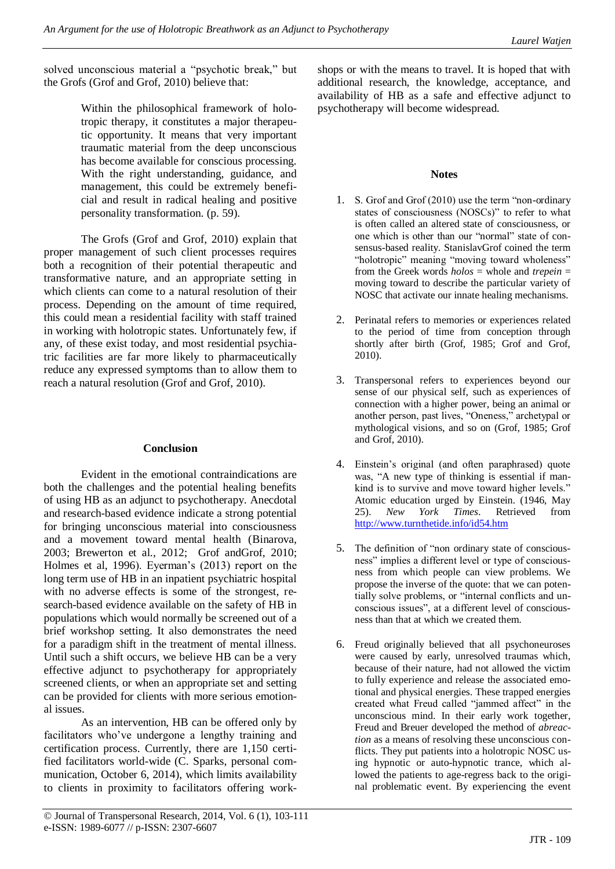solved unconscious material a "psychotic break," but the Grofs (Grof and Grof, 2010) believe that:

> Within the philosophical framework of holotropic therapy, it constitutes a major therapeutic opportunity. It means that very important traumatic material from the deep unconscious has become available for conscious processing. With the right understanding, guidance, and management, this could be extremely beneficial and result in radical healing and positive personality transformation. (p. 59).

The Grofs (Grof and Grof, 2010) explain that proper management of such client processes requires both a recognition of their potential therapeutic and transformative nature, and an appropriate setting in which clients can come to a natural resolution of their process. Depending on the amount of time required, this could mean a residential facility with staff trained in working with holotropic states. Unfortunately few, if any, of these exist today, and most residential psychiatric facilities are far more likely to pharmaceutically reduce any expressed symptoms than to allow them to reach a natural resolution (Grof and Grof, 2010).

## **Conclusion**

Evident in the emotional contraindications are both the challenges and the potential healing benefits of using HB as an adjunct to psychotherapy. Anecdotal and research-based evidence indicate a strong potential for bringing unconscious material into consciousness and a movement toward mental health (Binarova, 2003; Brewerton et al., 2012; Grof andGrof, 2010; Holmes et al, 1996). Eyerman's (2013) report on the long term use of HB in an inpatient psychiatric hospital with no adverse effects is some of the strongest, research-based evidence available on the safety of HB in populations which would normally be screened out of a brief workshop setting. It also demonstrates the need for a paradigm shift in the treatment of mental illness. Until such a shift occurs, we believe HB can be a very effective adjunct to psychotherapy for appropriately screened clients, or when an appropriate set and setting can be provided for clients with more serious emotional issues.

As an intervention, HB can be offered only by facilitators who've undergone a lengthy training and certification process. Currently, there are 1,150 certified facilitators world-wide (C. Sparks, personal communication, October 6, 2014), which limits availability to clients in proximity to facilitators offering workshops or with the means to travel. It is hoped that with additional research, the knowledge, acceptance, and availability of HB as a safe and effective adjunct to psychotherapy will become widespread.

# **Notes**

- 1. S. Grof and Grof  $(2010)$  use the term "non-ordinary" states of consciousness (NOSCs)" to refer to what is often called an altered state of consciousness, or one which is other than our "normal" state of consensus-based reality. StanislavGrof coined the term "holotropic" meaning "moving toward wholeness" from the Greek words *holos* = whole and *trepein* = moving toward to describe the particular variety of NOSC that activate our innate healing mechanisms.
- 2. Perinatal refers to memories or experiences related to the period of time from conception through shortly after birth (Grof, 1985; Grof and Grof, 2010).
- 3. Transpersonal refers to experiences beyond our sense of our physical self, such as experiences of connection with a higher power, being an animal or another person, past lives, "Oneness," archetypal or mythological visions, and so on (Grof, 1985; Grof and Grof, 2010).
- 4. Einstein's original (and often paraphrased) quote was, "A new type of thinking is essential if mankind is to survive and move toward higher levels." Atomic education urged by Einstein. (1946, May 25). *New York Times*. Retrieved from <http://www.turnthetide.info/id54.htm>
- 5. The definition of "non ordinary state of consciousness" implies a different level or type of consciousness from which people can view problems. We propose the inverse of the quote: that we can potentially solve problems, or "internal conflicts and unconscious issues", at a different level of consciousness than that at which we created them.
- 6. Freud originally believed that all psychoneuroses were caused by early, unresolved traumas which, because of their nature, had not allowed the victim to fully experience and release the associated emotional and physical energies. These trapped energies created what Freud called "jammed affect" in the unconscious mind. In their early work together, Freud and Breuer developed the method of *abreaction* as a means of resolving these unconscious conflicts. They put patients into a holotropic NOSC using hypnotic or auto-hypnotic trance, which allowed the patients to age-regress back to the original problematic event. By experiencing the event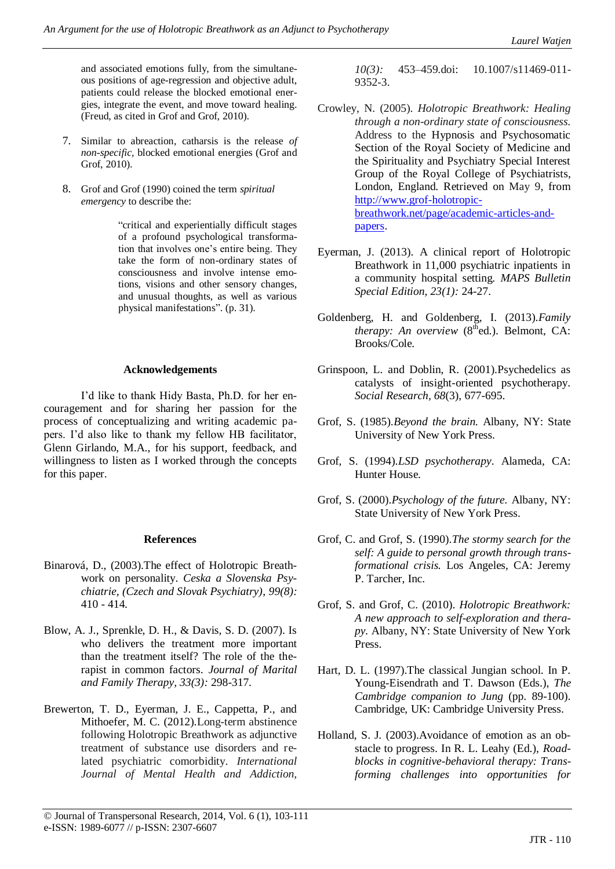and associated emotions fully, from the simultaneous positions of age-regression and objective adult, patients could release the blocked emotional energies, integrate the event, and move toward healing. (Freud, as cited in Grof and Grof, 2010).

- 7. Similar to abreaction, catharsis is the release *of non-specific,* blocked emotional energies (Grof and Grof, 2010).
- 8. Grof and Grof (1990) coined the term *spiritual emergency* to describe the:

―critical and experientially difficult stages of a profound psychological transformation that involves one's entire being. They take the form of non-ordinary states of consciousness and involve intense emotions, visions and other sensory changes, and unusual thoughts, as well as various physical manifestations". (p. 31).

#### **Acknowledgements**

I'd like to thank Hidy Basta, Ph.D. for her encouragement and for sharing her passion for the process of conceptualizing and writing academic papers. I'd also like to thank my fellow HB facilitator, Glenn Girlando, M.A., for his support, feedback, and willingness to listen as I worked through the concepts for this paper.

#### **References**

- Binarová, D., (2003).The effect of Holotropic Breathwork on personality. *Ceska a Slovenska Psychiatrie, (Czech and Slovak Psychiatry)*, *99(8):* 410 - 414.
- Blow, A. J., Sprenkle, D. H., & Davis, S. D. (2007). Is who delivers the treatment more important than the treatment itself? The role of the therapist in common factors. *Journal of Marital and Family Therapy, 33(3):* 298-317.
- Brewerton, T. D., Eyerman, J. E., Cappetta, P., and Mithoefer, M. C. (2012).Long-term abstinence following Holotropic Breathwork as adjunctive treatment of substance use disorders and related psychiatric comorbidity. *International Journal of Mental Health and Addiction,*

*10(3):* 453–459.doi: 10.1007/s11469-011- 9352-3.

- Crowley, N. (2005). *Holotropic Breathwork: Healing through a non-ordinary state of consciousness.*  Address to the Hypnosis and Psychosomatic Section of the Royal Society of Medicine and the Spirituality and Psychiatry Special Interest Group of the Royal College of Psychiatrists, London, England. Retrieved on May 9, from [http://www.grof-holotropic](http://www.grof-holotropic-breathwork.net/page/academic-articles-and-papers)[breathwork.net/page/academic-articles-and](http://www.grof-holotropic-breathwork.net/page/academic-articles-and-papers)[papers.](http://www.grof-holotropic-breathwork.net/page/academic-articles-and-papers)
- Eyerman, J. (2013). A clinical report of Holotropic Breathwork in 11,000 psychiatric inpatients in a community hospital setting*. MAPS Bulletin Special Edition, 23(1):* 24-27.
- Goldenberg, H. and Goldenberg, I. (2013).*Family therapy: An overview*  $(8<sup>th</sup>ed.)$ . Belmont, CA: Brooks/Cole.
- Grinspoon, L. and Doblin, R. (2001).Psychedelics as catalysts of insight-oriented psychotherapy. *Social Research, 68*(3), 677-695.
- Grof, S. (1985).*Beyond the brain.* Albany, NY: State University of New York Press.
- Grof, S. (1994).*LSD psychotherapy*. Alameda, CA: Hunter House.
- Grof, S. (2000).*Psychology of the future.* Albany, NY: State University of New York Press.
- Grof, C. and Grof, S. (1990).*The stormy search for the self: A guide to personal growth through transformational crisis.* Los Angeles, CA: Jeremy P. Tarcher, Inc.
- Grof, S. and Grof, C. (2010). *Holotropic Breathwork: A new approach to self-exploration and therapy.* Albany, NY: State University of New York Press.
- Hart, D. L. (1997).The classical Jungian school. In P. Young-Eisendrath and T. Dawson (Eds.), *The Cambridge companion to Jung* (pp. 89-100). Cambridge, UK: Cambridge University Press.
- Holland, S. J. (2003).Avoidance of emotion as an obstacle to progress. In R. L. Leahy (Ed.), *Roadblocks in cognitive-behavioral therapy: Transforming challenges into opportunities for*

<sup>©</sup> Journal of Transpersonal Research, 2014, Vol. 6 (1), 103-111 e-ISSN: 1989-6077 // p-ISSN: 2307-6607